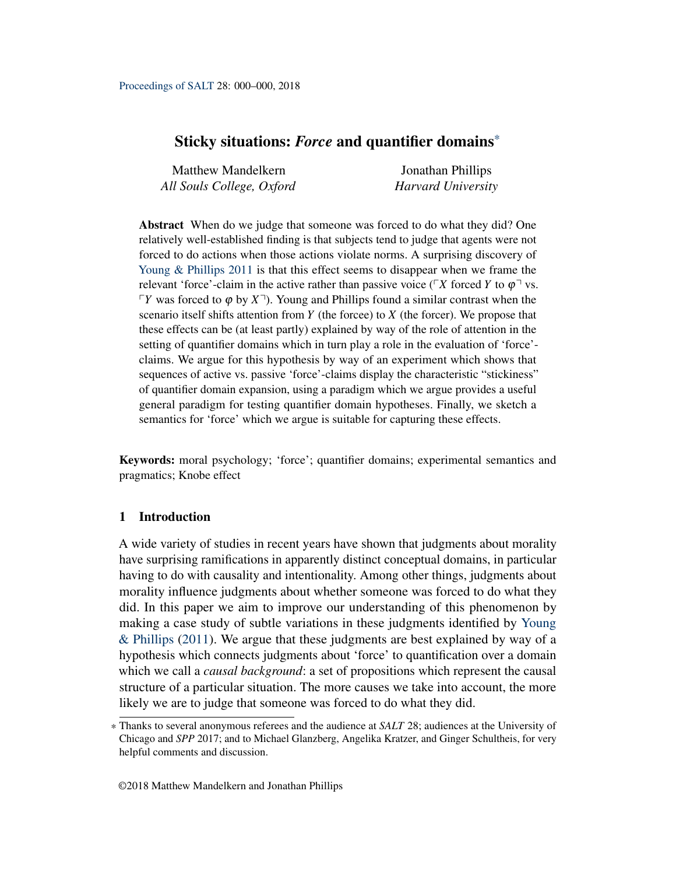# Sticky situations: *Force* and quantifier domains\*

| <b>Matthew Mandelkern</b> | Jonathan Phillips  |
|---------------------------|--------------------|
| All Souls College, Oxford | Harvard University |

Abstract When do we judge that someone was forced to do what they did? One relatively well-established finding is that subjects tend to judge that agents were not forced to do actions when those actions violate norms. A surprising discovery of [Young & Phillips](#page-18-0) [2011](#page-18-0) is that this effect seems to disappear when we frame the relevant 'force'-claim in the active rather than passive voice ( $\sqrt{X}$  forced *Y* to  $\varphi$ <sup> $\sqrt{Y}$ </sup> vs.  $\varphi$ <sup>*Y*</sup> was forced to  $\varphi$  by  $X$ <sup> $\neg$ </sup>). Young and Phillips found a similar contrast when the scenario itself shifts attention from *Y* (the forcee) to *X* (the forcer). We propose that these effects can be (at least partly) explained by way of the role of attention in the setting of quantifier domains which in turn play a role in the evaluation of 'force' claims. We argue for this hypothesis by way of an experiment which shows that sequences of active vs. passive 'force'-claims display the characteristic "stickiness" of quantifier domain expansion, using a paradigm which we argue provides a useful general paradigm for testing quantifier domain hypotheses. Finally, we sketch a semantics for 'force' which we argue is suitable for capturing these effects.

Keywords: moral psychology; 'force'; quantifier domains; experimental semantics and pragmatics; Knobe effect

# 1 Introduction

A wide variety of studies in recent years have shown that judgments about morality have surprising ramifications in apparently distinct conceptual domains, in particular having to do with causality and intentionality. Among other things, judgments about morality influence judgments about whether someone was forced to do what they did. In this paper we aim to improve our understanding of this phenomenon by making a case study of subtle variations in these judgments identified by [Young](#page-18-0) [& Phillips](#page-18-0) [\(2011\)](#page-18-0). We argue that these judgments are best explained by way of a hypothesis which connects judgments about 'force' to quantification over a domain which we call a *causal background*: a set of propositions which represent the causal structure of a particular situation. The more causes we take into account, the more likely we are to judge that someone was forced to do what they did.

<sup>\*</sup> Thanks to several anonymous referees and the audience at *SALT* 28; audiences at the University of Chicago and *SPP* 2017; and to Michael Glanzberg, Angelika Kratzer, and Ginger Schultheis, for very helpful comments and discussion.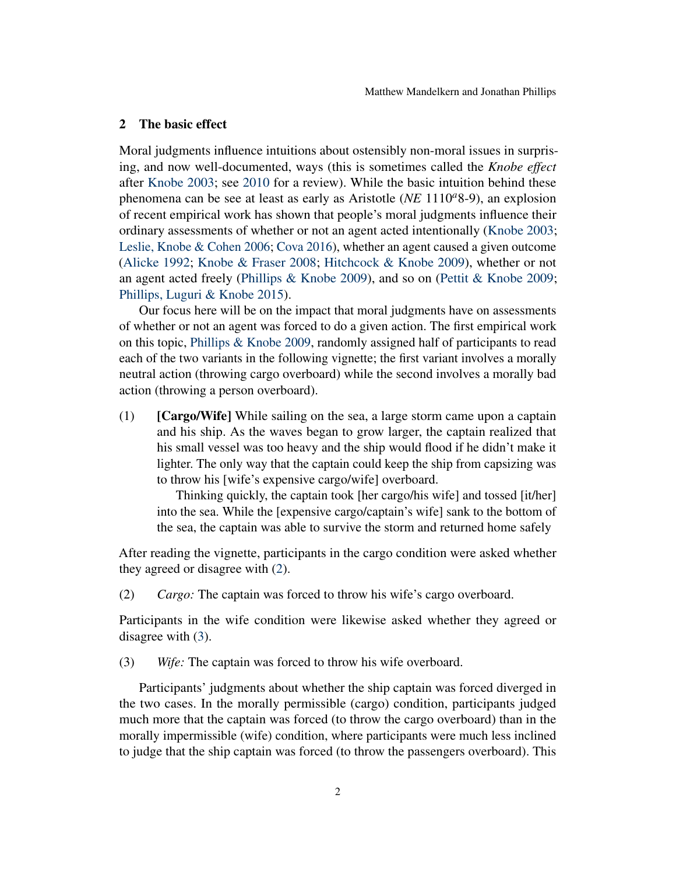# 2 The basic effect

Moral judgments influence intuitions about ostensibly non-moral issues in surprising, and now well-documented, ways (this is sometimes called the *Knobe effect* after [Knobe](#page-17-0) [2003;](#page-17-0) see [2010](#page-17-1) for a review). While the basic intuition behind these phenomena can be see at least as early as Aristotle (*NE* 1110*a*8-9), an explosion of recent empirical work has shown that people's moral judgments influence their ordinary assessments of whether or not an agent acted intentionally [\(Knobe](#page-17-0) [2003;](#page-17-0) [Leslie, Knobe & Cohen](#page-17-2) [2006;](#page-17-2) [Cova](#page-17-3) [2016\)](#page-17-3), whether an agent caused a given outcome [\(Alicke](#page-16-0) [1992;](#page-16-0) [Knobe & Fraser](#page-17-4) [2008;](#page-17-4) [Hitchcock & Knobe](#page-17-5) [2009\)](#page-17-5), whether or not an agent acted freely [\(Phillips & Knobe](#page-18-1) [2009\)](#page-18-1), and so on [\(Pettit & Knobe](#page-18-2) [2009;](#page-18-2) [Phillips, Luguri & Knobe](#page-18-3) [2015\)](#page-18-3).

Our focus here will be on the impact that moral judgments have on assessments of whether or not an agent was forced to do a given action. The first empirical work on this topic, [Phillips & Knobe](#page-18-1) [2009,](#page-18-1) randomly assigned half of participants to read each of the two variants in the following vignette; the first variant involves a morally neutral action (throwing cargo overboard) while the second involves a morally bad action (throwing a person overboard).

 $(1)$  [Cargo/Wife] While sailing on the sea, a large storm came upon a captain and his ship. As the waves began to grow larger, the captain realized that his small vessel was too heavy and the ship would flood if he didn't make it lighter. The only way that the captain could keep the ship from capsizing was to throw his [wife's expensive cargo/wife] overboard.

Thinking quickly, the captain took [her cargo/his wife] and tossed [it/her] into the sea. While the [expensive cargo/captain's wife] sank to the bottom of the sea, the captain was able to survive the storm and returned home safely

After reading the vignette, participants in the cargo condition were asked whether they agreed or disagree with [\(2\)](#page-1-0).

<span id="page-1-0"></span>(2) *Cargo:* The captain was forced to throw his wife's cargo overboard.

Participants in the wife condition were likewise asked whether they agreed or disagree with [\(3\)](#page-1-1).

<span id="page-1-1"></span>(3) *Wife:* The captain was forced to throw his wife overboard.

Participants' judgments about whether the ship captain was forced diverged in the two cases. In the morally permissible (cargo) condition, participants judged much more that the captain was forced (to throw the cargo overboard) than in the morally impermissible (wife) condition, where participants were much less inclined to judge that the ship captain was forced (to throw the passengers overboard). This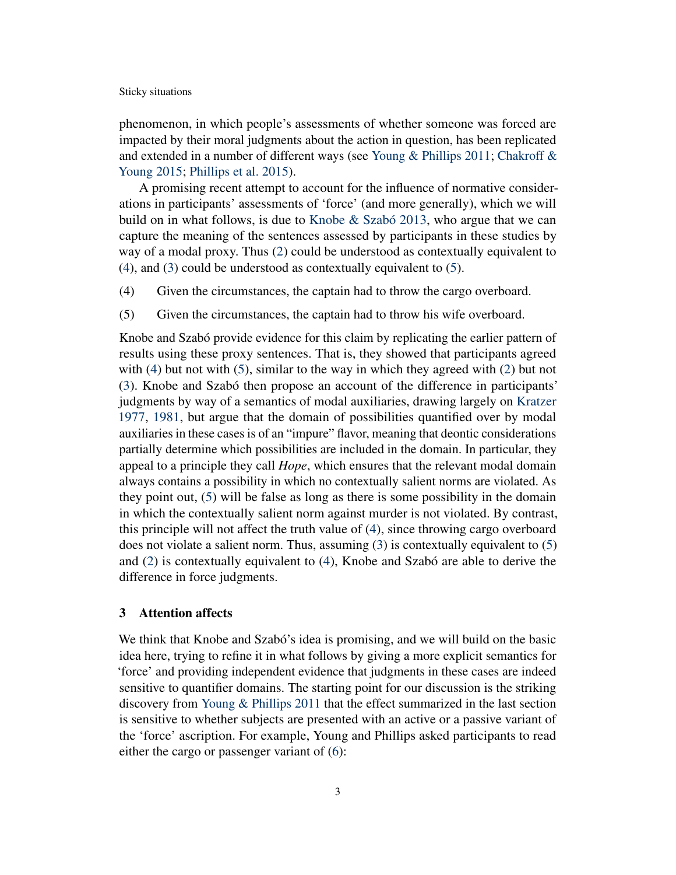phenomenon, in which people's assessments of whether someone was forced are impacted by their moral judgments about the action in question, has been replicated and extended in a number of different ways (see [Young & Phillips](#page-18-0) [2011;](#page-18-0) [Chakroff &](#page-17-6) [Young](#page-17-6) [2015;](#page-17-6) [Phillips et al.](#page-18-3) [2015\)](#page-18-3).

A promising recent attempt to account for the influence of normative considerations in participants' assessments of 'force' (and more generally), which we will build on in what follows, is due to [Knobe & Szabó](#page-17-7) [2013,](#page-17-7) who argue that we can capture the meaning of the sentences assessed by participants in these studies by way of a modal proxy. Thus [\(2\)](#page-1-0) could be understood as contextually equivalent to [\(4\)](#page-2-0), and [\(3\)](#page-1-1) could be understood as contextually equivalent to [\(5\)](#page-2-1).

- <span id="page-2-0"></span>(4) Given the circumstances, the captain had to throw the cargo overboard.
- <span id="page-2-1"></span>(5) Given the circumstances, the captain had to throw his wife overboard.

Knobe and Szabó provide evidence for this claim by replicating the earlier pattern of results using these proxy sentences. That is, they showed that participants agreed with [\(4\)](#page-2-0) but not with [\(5\)](#page-2-1), similar to the way in which they agreed with [\(2\)](#page-1-0) but not [\(3\)](#page-1-1). Knobe and Szabó then propose an account of the difference in participants' judgments by way of a semantics of modal auxiliaries, drawing largely on [Kratzer](#page-17-8) [1977,](#page-17-8) [1981,](#page-17-9) but argue that the domain of possibilities quantified over by modal auxiliaries in these cases is of an "impure" flavor, meaning that deontic considerations partially determine which possibilities are included in the domain. In particular, they appeal to a principle they call *Hope*, which ensures that the relevant modal domain always contains a possibility in which no contextually salient norms are violated. As they point out, [\(5\)](#page-2-1) will be false as long as there is some possibility in the domain in which the contextually salient norm against murder is not violated. By contrast, this principle will not affect the truth value of [\(4\)](#page-2-0), since throwing cargo overboard does not violate a salient norm. Thus, assuming [\(3\)](#page-1-1) is contextually equivalent to [\(5\)](#page-2-1) and [\(2\)](#page-1-0) is contextually equivalent to [\(4\)](#page-2-0), Knobe and Szabó are able to derive the difference in force judgments.

# 3 Attention affects

We think that Knobe and Szabó's idea is promising, and we will build on the basic idea here, trying to refine it in what follows by giving a more explicit semantics for 'force' and providing independent evidence that judgments in these cases are indeed sensitive to quantifier domains. The starting point for our discussion is the striking discovery from [Young & Phillips](#page-18-0) [2011](#page-18-0) that the effect summarized in the last section is sensitive to whether subjects are presented with an active or a passive variant of the 'force' ascription. For example, Young and Phillips asked participants to read either the cargo or passenger variant of [\(6\)](#page-3-0):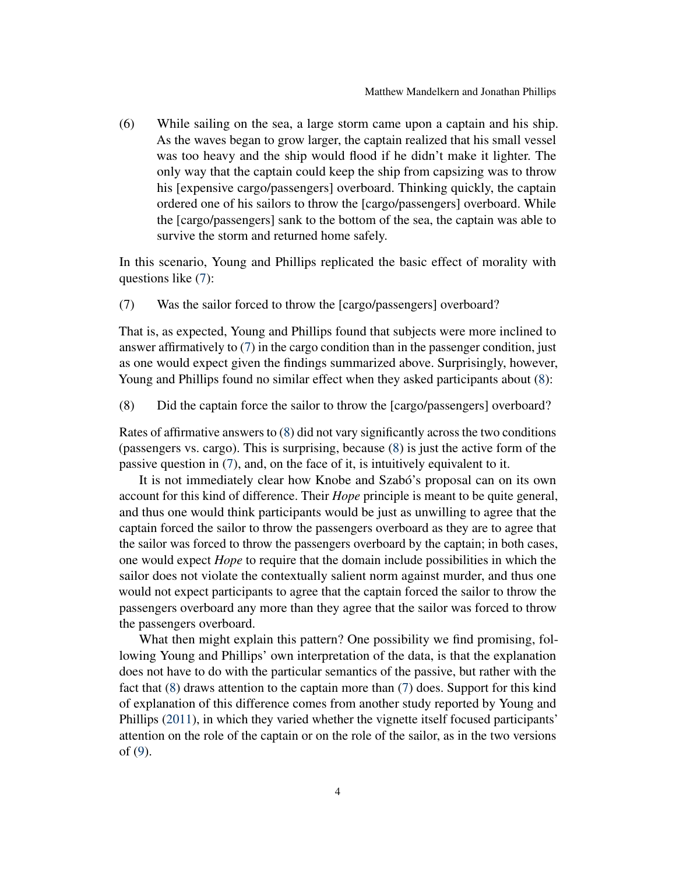<span id="page-3-0"></span>(6) While sailing on the sea, a large storm came upon a captain and his ship. As the waves began to grow larger, the captain realized that his small vessel was too heavy and the ship would flood if he didn't make it lighter. The only way that the captain could keep the ship from capsizing was to throw his [expensive cargo/passengers] overboard. Thinking quickly, the captain ordered one of his sailors to throw the [cargo/passengers] overboard. While the [cargo/passengers] sank to the bottom of the sea, the captain was able to survive the storm and returned home safely.

In this scenario, Young and Phillips replicated the basic effect of morality with questions like [\(7\)](#page-3-1):

<span id="page-3-1"></span>(7) Was the sailor forced to throw the [cargo/passengers] overboard?

That is, as expected, Young and Phillips found that subjects were more inclined to answer affirmatively to [\(7\)](#page-3-1) in the cargo condition than in the passenger condition, just as one would expect given the findings summarized above. Surprisingly, however, Young and Phillips found no similar effect when they asked participants about  $(8)$ :

<span id="page-3-2"></span>(8) Did the captain force the sailor to throw the [cargo/passengers] overboard?

Rates of affirmative answers to [\(8\)](#page-3-2) did not vary significantly across the two conditions (passengers vs. cargo). This is surprising, because [\(8\)](#page-3-2) is just the active form of the passive question in [\(7\)](#page-3-1), and, on the face of it, is intuitively equivalent to it.

It is not immediately clear how Knobe and Szabó's proposal can on its own account for this kind of difference. Their *Hope* principle is meant to be quite general, and thus one would think participants would be just as unwilling to agree that the captain forced the sailor to throw the passengers overboard as they are to agree that the sailor was forced to throw the passengers overboard by the captain; in both cases, one would expect *Hope* to require that the domain include possibilities in which the sailor does not violate the contextually salient norm against murder, and thus one would not expect participants to agree that the captain forced the sailor to throw the passengers overboard any more than they agree that the sailor was forced to throw the passengers overboard.

What then might explain this pattern? One possibility we find promising, following Young and Phillips' own interpretation of the data, is that the explanation does not have to do with the particular semantics of the passive, but rather with the fact that [\(8\)](#page-3-2) draws attention to the captain more than [\(7\)](#page-3-1) does. Support for this kind of explanation of this difference comes from another study reported by Young and Phillips [\(2011\)](#page-18-0), in which they varied whether the vignette itself focused participants' attention on the role of the captain or on the role of the sailor, as in the two versions of [\(9\)](#page-4-0).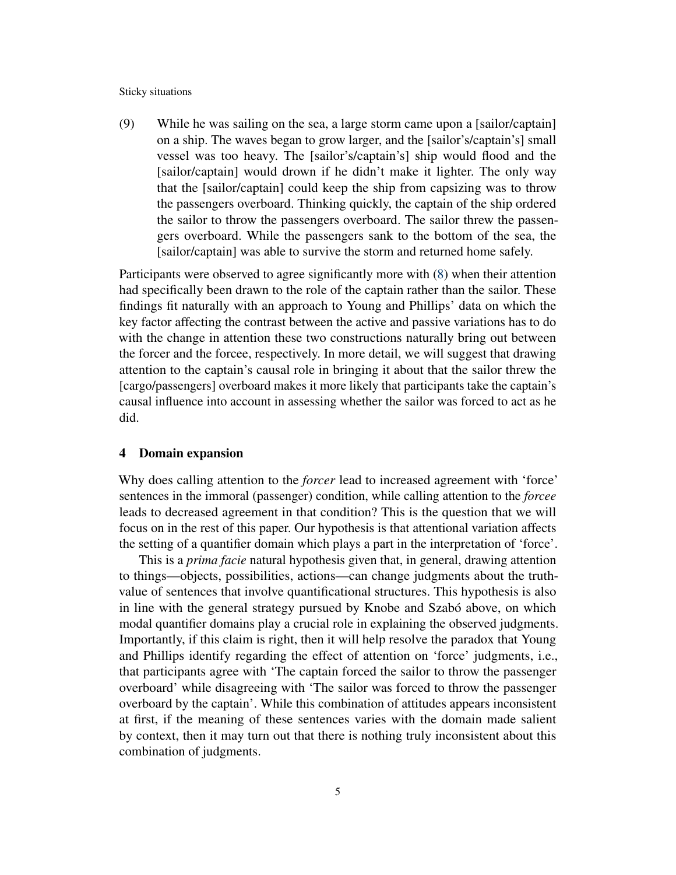<span id="page-4-0"></span>(9) While he was sailing on the sea, a large storm came upon a [sailor/captain] on a ship. The waves began to grow larger, and the [sailor's/captain's] small vessel was too heavy. The [sailor's/captain's] ship would flood and the [sailor/captain] would drown if he didn't make it lighter. The only way that the [sailor/captain] could keep the ship from capsizing was to throw the passengers overboard. Thinking quickly, the captain of the ship ordered the sailor to throw the passengers overboard. The sailor threw the passengers overboard. While the passengers sank to the bottom of the sea, the [sailor/captain] was able to survive the storm and returned home safely.

Participants were observed to agree significantly more with [\(8\)](#page-3-2) when their attention had specifically been drawn to the role of the captain rather than the sailor. These findings fit naturally with an approach to Young and Phillips' data on which the key factor affecting the contrast between the active and passive variations has to do with the change in attention these two constructions naturally bring out between the forcer and the forcee, respectively. In more detail, we will suggest that drawing attention to the captain's causal role in bringing it about that the sailor threw the [cargo/passengers] overboard makes it more likely that participants take the captain's causal influence into account in assessing whether the sailor was forced to act as he did.

# 4 Domain expansion

Why does calling attention to the *forcer* lead to increased agreement with 'force' sentences in the immoral (passenger) condition, while calling attention to the *forcee* leads to decreased agreement in that condition? This is the question that we will focus on in the rest of this paper. Our hypothesis is that attentional variation affects the setting of a quantifier domain which plays a part in the interpretation of 'force'.

This is a *prima facie* natural hypothesis given that, in general, drawing attention to things—objects, possibilities, actions—can change judgments about the truthvalue of sentences that involve quantificational structures. This hypothesis is also in line with the general strategy pursued by Knobe and Szabó above, on which modal quantifier domains play a crucial role in explaining the observed judgments. Importantly, if this claim is right, then it will help resolve the paradox that Young and Phillips identify regarding the effect of attention on 'force' judgments, i.e., that participants agree with 'The captain forced the sailor to throw the passenger overboard' while disagreeing with 'The sailor was forced to throw the passenger overboard by the captain'. While this combination of attitudes appears inconsistent at first, if the meaning of these sentences varies with the domain made salient by context, then it may turn out that there is nothing truly inconsistent about this combination of judgments.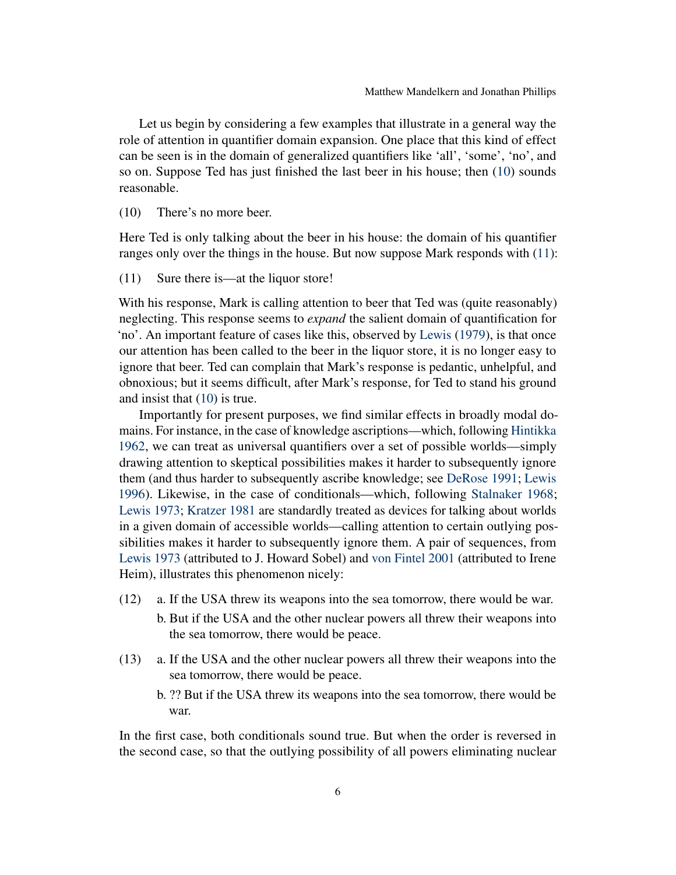Let us begin by considering a few examples that illustrate in a general way the role of attention in quantifier domain expansion. One place that this kind of effect can be seen is in the domain of generalized quantifiers like 'all', 'some', 'no', and so on. Suppose Ted has just finished the last beer in his house; then [\(10\)](#page-5-0) sounds reasonable.

<span id="page-5-0"></span>(10) There's no more beer.

Here Ted is only talking about the beer in his house: the domain of his quantifier ranges only over the things in the house. But now suppose Mark responds with [\(11\)](#page-5-1):

<span id="page-5-1"></span>(11) Sure there is—at the liquor store!

With his response, Mark is calling attention to beer that Ted was (quite reasonably) neglecting. This response seems to *expand* the salient domain of quantification for 'no'. An important feature of cases like this, observed by [Lewis](#page-17-10) [\(1979\)](#page-17-10), is that once our attention has been called to the beer in the liquor store, it is no longer easy to ignore that beer. Ted can complain that Mark's response is pedantic, unhelpful, and obnoxious; but it seems difficult, after Mark's response, for Ted to stand his ground and insist that [\(10\)](#page-5-0) is true.

Importantly for present purposes, we find similar effects in broadly modal domains. For instance, in the case of knowledge ascriptions—which, following [Hintikka](#page-17-11) [1962,](#page-17-11) we can treat as universal quantifiers over a set of possible worlds—simply drawing attention to skeptical possibilities makes it harder to subsequently ignore them (and thus harder to subsequently ascribe knowledge; see [DeRose](#page-17-12) [1991;](#page-17-12) [Lewis](#page-17-13) [1996\)](#page-17-13). Likewise, in the case of conditionals—which, following [Stalnaker](#page-18-4) [1968;](#page-18-4) [Lewis](#page-17-14) [1973;](#page-17-14) [Kratzer](#page-17-9) [1981](#page-17-9) are standardly treated as devices for talking about worlds in a given domain of accessible worlds—calling attention to certain outlying possibilities makes it harder to subsequently ignore them. A pair of sequences, from [Lewis](#page-17-14) [1973](#page-17-14) (attributed to J. Howard Sobel) and [von Fintel](#page-17-15) [2001](#page-17-15) (attributed to Irene Heim), illustrates this phenomenon nicely:

- (12) a. If the USA threw its weapons into the sea tomorrow, there would be war.
	- b. But if the USA and the other nuclear powers all threw their weapons into the sea tomorrow, there would be peace.
- <span id="page-5-2"></span>(13) a. If the USA and the other nuclear powers all threw their weapons into the sea tomorrow, there would be peace.
	- b. ?? But if the USA threw its weapons into the sea tomorrow, there would be war.

In the first case, both conditionals sound true. But when the order is reversed in the second case, so that the outlying possibility of all powers eliminating nuclear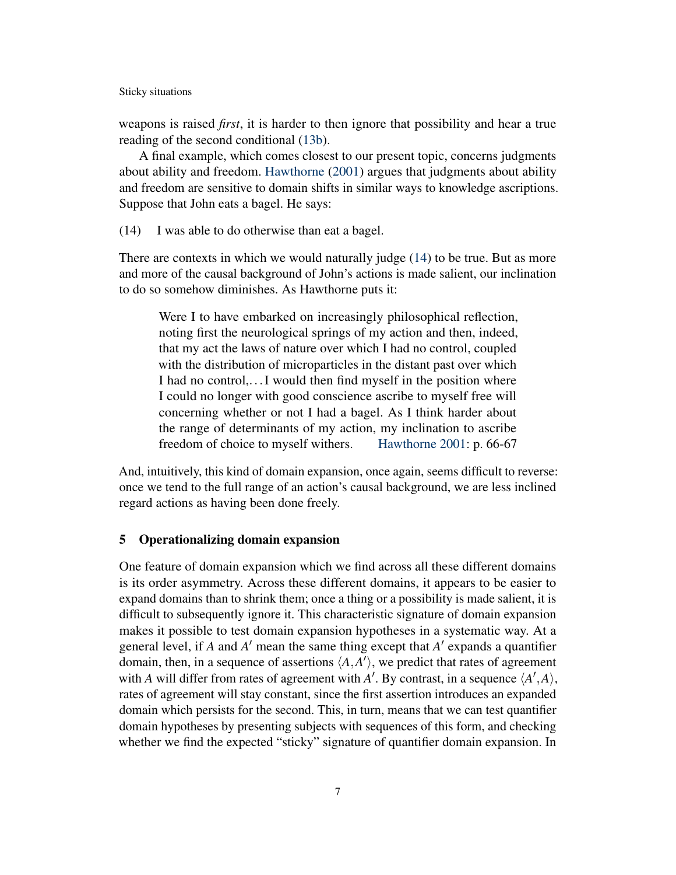weapons is raised *first*, it is harder to then ignore that possibility and hear a true reading of the second conditional [\(13b\)](#page-5-2).

A final example, which comes closest to our present topic, concerns judgments about ability and freedom. [Hawthorne](#page-17-16) [\(2001\)](#page-17-16) argues that judgments about ability and freedom are sensitive to domain shifts in similar ways to knowledge ascriptions. Suppose that John eats a bagel. He says:

<span id="page-6-0"></span>(14) I was able to do otherwise than eat a bagel.

There are contexts in which we would naturally judge [\(14\)](#page-6-0) to be true. But as more and more of the causal background of John's actions is made salient, our inclination to do so somehow diminishes. As Hawthorne puts it:

Were I to have embarked on increasingly philosophical reflection, noting first the neurological springs of my action and then, indeed, that my act the laws of nature over which I had no control, coupled with the distribution of microparticles in the distant past over which I had no control,...I would then find myself in the position where I could no longer with good conscience ascribe to myself free will concerning whether or not I had a bagel. As I think harder about the range of determinants of my action, my inclination to ascribe freedom of choice to myself withers. [Hawthorne](#page-17-16) [2001:](#page-17-16) p. 66-67

And, intuitively, this kind of domain expansion, once again, seems difficult to reverse: once we tend to the full range of an action's causal background, we are less inclined regard actions as having been done freely.

# 5 Operationalizing domain expansion

One feature of domain expansion which we find across all these different domains is its order asymmetry. Across these different domains, it appears to be easier to expand domains than to shrink them; once a thing or a possibility is made salient, it is difficult to subsequently ignore it. This characteristic signature of domain expansion makes it possible to test domain expansion hypotheses in a systematic way. At a general level, if  $A$  and  $A'$  mean the same thing except that  $A'$  expands a quantifier domain, then, in a sequence of assertions  $\langle A, A' \rangle$ , we predict that rates of agreement with *A* will differ from rates of agreement with *A'*. By contrast, in a sequence  $\langle A', A \rangle$ , rates of agreement will stay constant, since the first assertion introduces an expanded domain which persists for the second. This, in turn, means that we can test quantifier domain hypotheses by presenting subjects with sequences of this form, and checking whether we find the expected "sticky" signature of quantifier domain expansion. In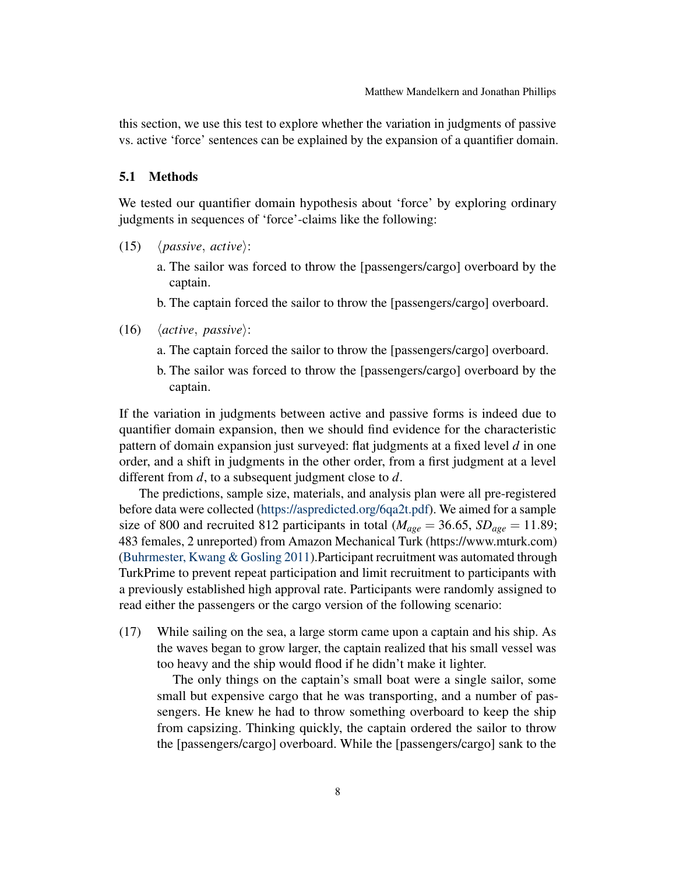this section, we use this test to explore whether the variation in judgments of passive vs. active 'force' sentences can be explained by the expansion of a quantifier domain.

# 5.1 Methods

We tested our quantifier domain hypothesis about 'force' by exploring ordinary judgments in sequences of 'force'-claims like the following:

- <span id="page-7-0"></span> $(15)$   $\langle passive, active \rangle$ :
	- a. The sailor was forced to throw the [passengers/cargo] overboard by the captain.
	- b. The captain forced the sailor to throw the [passengers/cargo] overboard.
- <span id="page-7-1"></span> $(16)$   $\langle active, passive \rangle$ :
	- a. The captain forced the sailor to throw the [passengers/cargo] overboard.
	- b. The sailor was forced to throw the [passengers/cargo] overboard by the captain.

If the variation in judgments between active and passive forms is indeed due to quantifier domain expansion, then we should find evidence for the characteristic pattern of domain expansion just surveyed: flat judgments at a fixed level *d* in one order, and a shift in judgments in the other order, from a first judgment at a level different from *d*, to a subsequent judgment close to *d*.

The predictions, sample size, materials, and analysis plan were all pre-registered before data were collected [\(https://aspredicted.org/6qa2t.pdf\)](https://aspredicted.org/6qa2t.pdf). We aimed for a sample size of 800 and recruited 812 participants in total ( $M_{age} = 36.65$ ,  $SD_{age} = 11.89$ ; 483 females, 2 unreported) from Amazon Mechanical Turk (https://www.mturk.com) [\(Buhrmester, Kwang & Gosling](#page-17-17) [2011\)](#page-17-17).Participant recruitment was automated through TurkPrime to prevent repeat participation and limit recruitment to participants with a previously established high approval rate. Participants were randomly assigned to read either the passengers or the cargo version of the following scenario:

(17) While sailing on the sea, a large storm came upon a captain and his ship. As the waves began to grow larger, the captain realized that his small vessel was too heavy and the ship would flood if he didn't make it lighter.

The only things on the captain's small boat were a single sailor, some small but expensive cargo that he was transporting, and a number of passengers. He knew he had to throw something overboard to keep the ship from capsizing. Thinking quickly, the captain ordered the sailor to throw the [passengers/cargo] overboard. While the [passengers/cargo] sank to the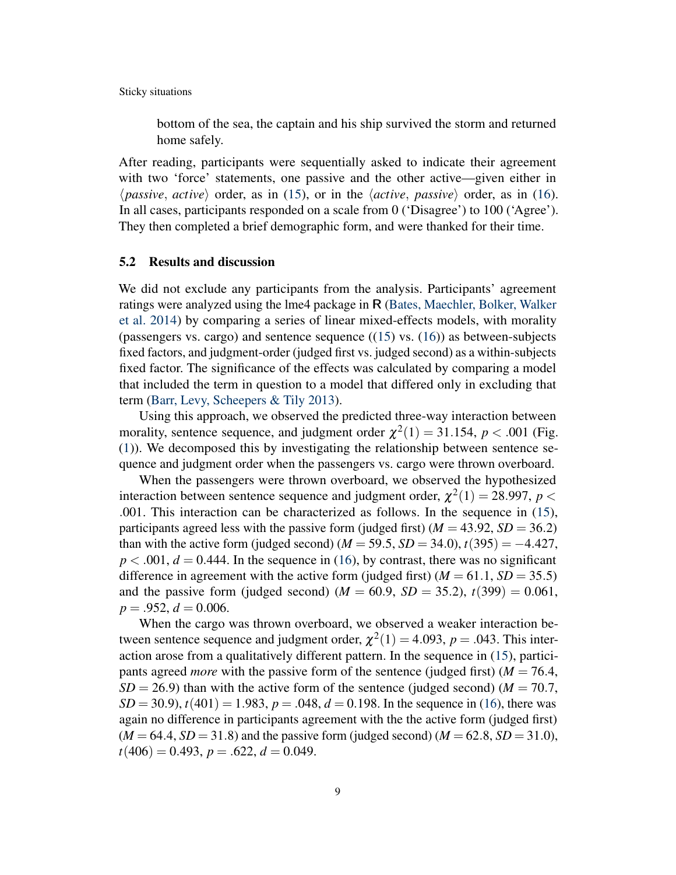bottom of the sea, the captain and his ship survived the storm and returned home safely.

After reading, participants were sequentially asked to indicate their agreement with two 'force' statements, one passive and the other active—given either in  $\langle passive, active \rangle$  order, as in [\(15\)](#page-7-0), or in the  $\langle active, passive \rangle$  order, as in [\(16\)](#page-7-1). In all cases, participants responded on a scale from 0 ('Disagree') to 100 ('Agree'). They then completed a brief demographic form, and were thanked for their time.

# 5.2 Results and discussion

We did not exclude any participants from the analysis. Participants' agreement ratings were analyzed using the lme4 package in R [\(Bates, Maechler, Bolker, Walker](#page-17-18) [et al.](#page-17-18) [2014\)](#page-17-18) by comparing a series of linear mixed-effects models, with morality (passengers vs. cargo) and sentence sequence  $((15)$  $((15)$  vs.  $(16)$ ) as between-subjects fixed factors, and judgment-order (judged first vs. judged second) as a within-subjects fixed factor. The significance of the effects was calculated by comparing a model that included the term in question to a model that differed only in excluding that term [\(Barr, Levy, Scheepers & Tily](#page-16-1) [2013\)](#page-16-1).

Using this approach, we observed the predicted three-way interaction between morality, sentence sequence, and judgment order  $\chi^2(1) = 31.154$ ,  $p < .001$  (Fig. [\(1\)](#page-9-0)). We decomposed this by investigating the relationship between sentence sequence and judgment order when the passengers vs. cargo were thrown overboard.

When the passengers were thrown overboard, we observed the hypothesized interaction between sentence sequence and judgment order,  $\chi^2(1) = 28.997$ ,  $p <$ .001. This interaction can be characterized as follows. In the sequence in [\(15\)](#page-7-0), participants agreed less with the passive form (judged first) ( $M = 43.92$ ,  $SD = 36.2$ ) than with the active form (judged second)  $(M = 59.5, SD = 34.0), t(395) = -4.427$ ,  $p < .001$ ,  $d = 0.444$ . In the sequence in [\(16\)](#page-7-1), by contrast, there was no significant difference in agreement with the active form (judged first)  $(M = 61.1, SD = 35.5)$ and the passive form (judged second)  $(M = 60.9, SD = 35.2), t(399) = 0.061$ ,  $p = .952, d = 0.006.$ 

When the cargo was thrown overboard, we observed a weaker interaction between sentence sequence and judgment order,  $\chi^2(1) = 4.093$ ,  $p = .043$ . This interaction arose from a qualitatively different pattern. In the sequence in [\(15\)](#page-7-0), participants agreed *more* with the passive form of the sentence (judged first)  $(M = 76.4,$  $SD = 26.9$ ) than with the active form of the sentence (judged second) ( $M = 70.7$ ,  $SD = 30.9$ ,  $t(401) = 1.983$ ,  $p = .048$ ,  $d = 0.198$ . In the sequence in [\(16\)](#page-7-1), there was again no difference in participants agreement with the the active form (judged first)  $(M = 64.4, SD = 31.8)$  and the passive form (judged second)  $(M = 62.8, SD = 31.0)$ ,  $t(406) = 0.493$ ,  $p = .622$ ,  $d = 0.049$ .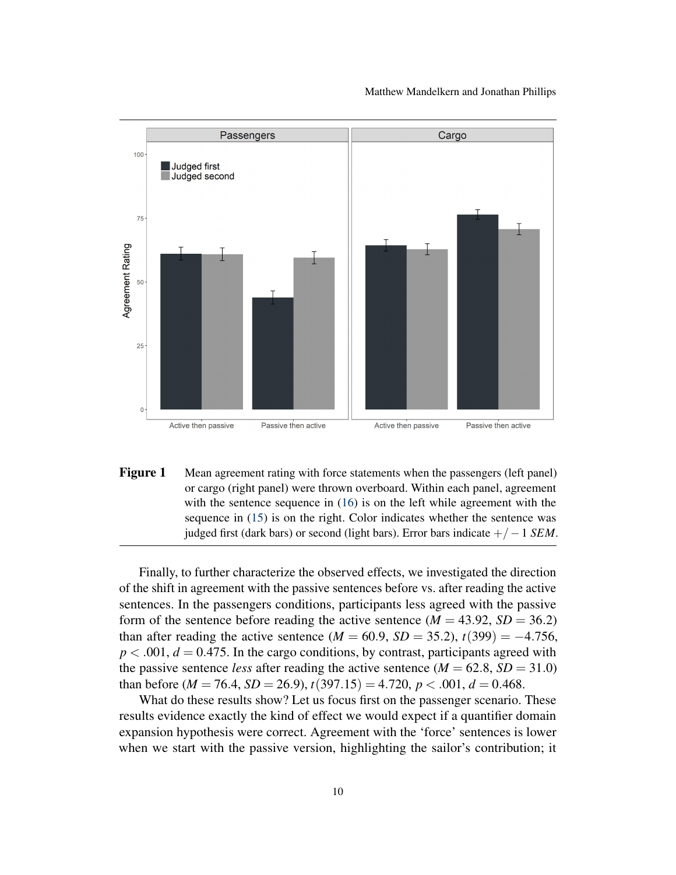

<span id="page-9-0"></span>Figure 1 Mean agreement rating with force statements when the passengers (left panel) or cargo (right panel) were thrown overboard. Within each panel, agreement with the sentence sequence in  $(16)$  is on the left while agreement with the sequence in [\(15\)](#page-7-0) is on the right. Color indicates whether the sentence was judged first (dark bars) or second (light bars). Error bars indicate +/−1 *SEM*.

Finally, to further characterize the observed effects, we investigated the direction of the shift in agreement with the passive sentences before vs. after reading the active sentences. In the passengers conditions, participants less agreed with the passive form of the sentence before reading the active sentence  $(M = 43.92, SD = 36.2)$ than after reading the active sentence ( $M = 60.9$ ,  $SD = 35.2$ ),  $t(399) = -4.756$ ,  $p < .001$ ,  $d = 0.475$ . In the cargo conditions, by contrast, participants agreed with the passive sentence *less* after reading the active sentence  $(M = 62.8, SD = 31.0)$ than before  $(M = 76.4, SD = 26.9), t(397.15) = 4.720, p < .001, d = 0.468$ .

What do these results show? Let us focus first on the passenger scenario. These results evidence exactly the kind of effect we would expect if a quantifier domain expansion hypothesis were correct. Agreement with the 'force' sentences is lower when we start with the passive version, highlighting the sailor's contribution; it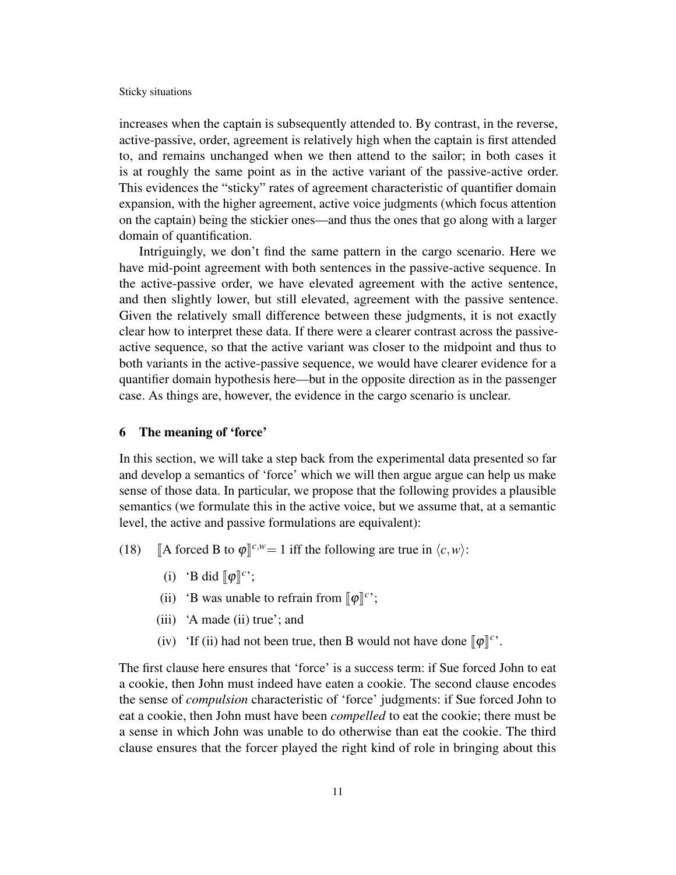increases when the captain is subsequently attended to. By contrast, in the reverse, active-passive, order, agreement is relatively high when the captain is first attended to, and remains unchanged when we then attend to the sailor; in both cases it is at roughly the same point as in the active variant of the passive-active order. This evidences the "sticky" rates of agreement characteristic of quantifier domain expansion, with the higher agreement, active voice judgments (which focus attention on the captain) being the stickier ones—and thus the ones that go along with a larger domain of quantification.

Intriguingly, we don't find the same pattern in the cargo scenario. Here we have mid-point agreement with both sentences in the passive-active sequence. In the active-passive order, we have elevated agreement with the active sentence, and then slightly lower, but still elevated, agreement with the passive sentence. Given the relatively small difference between these judgments, it is not exactly clear how to interpret these data. If there were a clearer contrast across the passiveactive sequence, so that the active variant was closer to the midpoint and thus to both variants in the active-passive sequence, we would have clearer evidence for a quantifier domain hypothesis here—but in the opposite direction as in the passenger case. As things are, however, the evidence in the cargo scenario is unclear.

### 6 The meaning of 'force'

In this section, we will take a step back from the experimental data presented so far and develop a semantics of 'force' which we will then argue argue can help us make sense of those data. In particular, we propose that the following provides a plausible semantics (we formulate this in the active voice, but we assume that, at a semantic level, the active and passive formulations are equivalent):

- (18) [A forced B to  $\varphi$ ]<sup>*c*,*w*</sup> = 1 iff the following are true in  $\langle c, w \rangle$ :
	- (i) 'B did  $[\![\varphi]\!]^c$ ';
	- (ii) 'B was unable to refrain from  $[\![\varphi]\!]^c$ ;
	- (iii) 'A made (ii) true'; and
	- (iv) 'If (ii) had not been true, then B would not have done  $[\![\varphi]\!]^{c}$ .

The first clause here ensures that 'force' is a success term: if Sue forced John to eat a cookie, then John must indeed have eaten a cookie. The second clause encodes the sense of *compulsion* characteristic of 'force' judgments: if Sue forced John to eat a cookie, then John must have been *compelled* to eat the cookie; there must be a sense in which John was unable to do otherwise than eat the cookie. The third clause ensures that the forcer played the right kind of role in bringing about this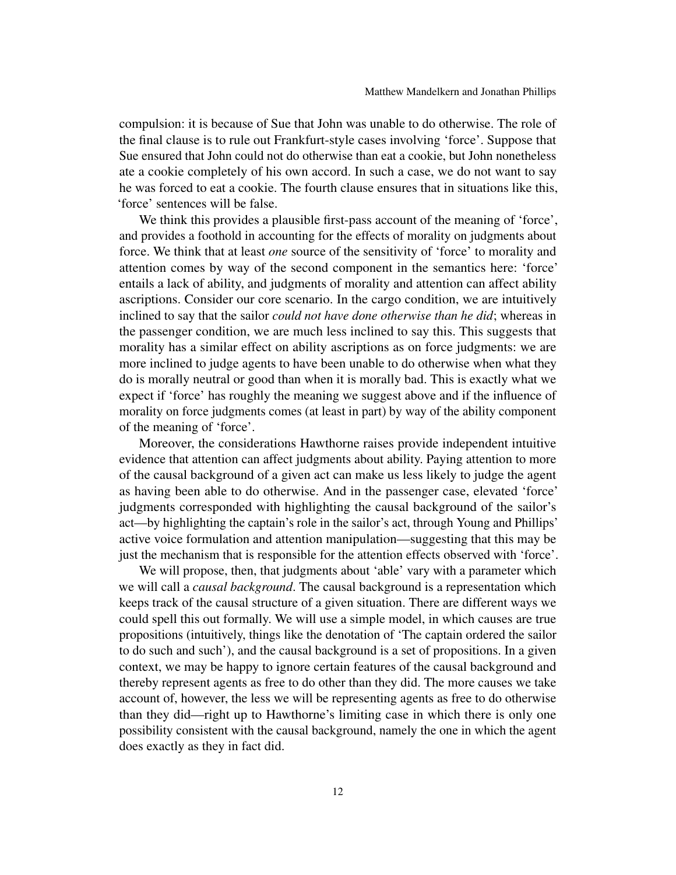compulsion: it is because of Sue that John was unable to do otherwise. The role of the final clause is to rule out Frankfurt-style cases involving 'force'. Suppose that Sue ensured that John could not do otherwise than eat a cookie, but John nonetheless ate a cookie completely of his own accord. In such a case, we do not want to say he was forced to eat a cookie. The fourth clause ensures that in situations like this, 'force' sentences will be false.

We think this provides a plausible first-pass account of the meaning of 'force', and provides a foothold in accounting for the effects of morality on judgments about force. We think that at least *one* source of the sensitivity of 'force' to morality and attention comes by way of the second component in the semantics here: 'force' entails a lack of ability, and judgments of morality and attention can affect ability ascriptions. Consider our core scenario. In the cargo condition, we are intuitively inclined to say that the sailor *could not have done otherwise than he did*; whereas in the passenger condition, we are much less inclined to say this. This suggests that morality has a similar effect on ability ascriptions as on force judgments: we are more inclined to judge agents to have been unable to do otherwise when what they do is morally neutral or good than when it is morally bad. This is exactly what we expect if 'force' has roughly the meaning we suggest above and if the influence of morality on force judgments comes (at least in part) by way of the ability component of the meaning of 'force'.

Moreover, the considerations Hawthorne raises provide independent intuitive evidence that attention can affect judgments about ability. Paying attention to more of the causal background of a given act can make us less likely to judge the agent as having been able to do otherwise. And in the passenger case, elevated 'force' judgments corresponded with highlighting the causal background of the sailor's act—by highlighting the captain's role in the sailor's act, through Young and Phillips' active voice formulation and attention manipulation—suggesting that this may be just the mechanism that is responsible for the attention effects observed with 'force'.

We will propose, then, that judgments about 'able' vary with a parameter which we will call a *causal background*. The causal background is a representation which keeps track of the causal structure of a given situation. There are different ways we could spell this out formally. We will use a simple model, in which causes are true propositions (intuitively, things like the denotation of 'The captain ordered the sailor to do such and such'), and the causal background is a set of propositions. In a given context, we may be happy to ignore certain features of the causal background and thereby represent agents as free to do other than they did. The more causes we take account of, however, the less we will be representing agents as free to do otherwise than they did—right up to Hawthorne's limiting case in which there is only one possibility consistent with the causal background, namely the one in which the agent does exactly as they in fact did.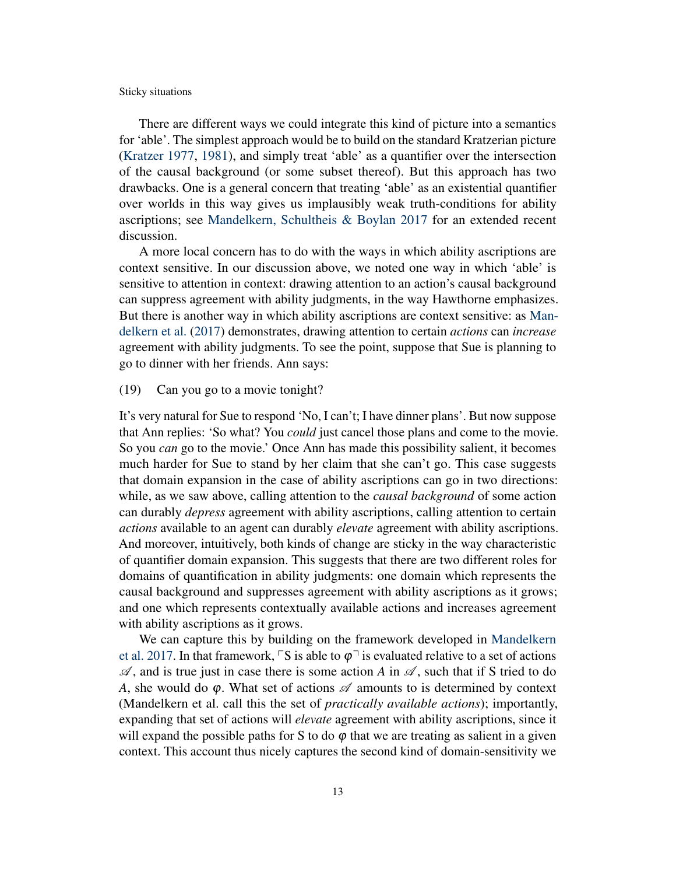There are different ways we could integrate this kind of picture into a semantics for 'able'. The simplest approach would be to build on the standard Kratzerian picture [\(Kratzer](#page-17-8) [1977,](#page-17-8) [1981\)](#page-17-9), and simply treat 'able' as a quantifier over the intersection of the causal background (or some subset thereof). But this approach has two drawbacks. One is a general concern that treating 'able' as an existential quantifier over worlds in this way gives us implausibly weak truth-conditions for ability ascriptions; see [Mandelkern, Schultheis & Boylan](#page-17-19) [2017](#page-17-19) for an extended recent discussion.

A more local concern has to do with the ways in which ability ascriptions are context sensitive. In our discussion above, we noted one way in which 'able' is sensitive to attention in context: drawing attention to an action's causal background can suppress agreement with ability judgments, in the way Hawthorne emphasizes. But there is another way in which ability ascriptions are context sensitive: as [Man](#page-17-19)[delkern et al.](#page-17-19) [\(2017\)](#page-17-19) demonstrates, drawing attention to certain *actions* can *increase* agreement with ability judgments. To see the point, suppose that Sue is planning to go to dinner with her friends. Ann says:

# (19) Can you go to a movie tonight?

It's very natural for Sue to respond 'No, I can't; I have dinner plans'. But now suppose that Ann replies: 'So what? You *could* just cancel those plans and come to the movie. So you *can* go to the movie.' Once Ann has made this possibility salient, it becomes much harder for Sue to stand by her claim that she can't go. This case suggests that domain expansion in the case of ability ascriptions can go in two directions: while, as we saw above, calling attention to the *causal background* of some action can durably *depress* agreement with ability ascriptions, calling attention to certain *actions* available to an agent can durably *elevate* agreement with ability ascriptions. And moreover, intuitively, both kinds of change are sticky in the way characteristic of quantifier domain expansion. This suggests that there are two different roles for domains of quantification in ability judgments: one domain which represents the causal background and suppresses agreement with ability ascriptions as it grows; and one which represents contextually available actions and increases agreement with ability ascriptions as it grows.

We can capture this by building on the framework developed in [Mandelkern](#page-17-19) [et al.](#page-17-19) [2017.](#page-17-19) In that framework,  $\sqrt{S}$  is able to  $\varphi$ <sup> $\rightarrow$ </sup> is evaluated relative to a set of actions  $\mathscr A$ , and is true just in case there is some action *A* in  $\mathscr A$ , such that if S tried to do *A*, she would do  $\varphi$ . What set of actions  $\mathscr A$  amounts to is determined by context (Mandelkern et al. call this the set of *practically available actions*); importantly, expanding that set of actions will *elevate* agreement with ability ascriptions, since it will expand the possible paths for S to do  $\varphi$  that we are treating as salient in a given context. This account thus nicely captures the second kind of domain-sensitivity we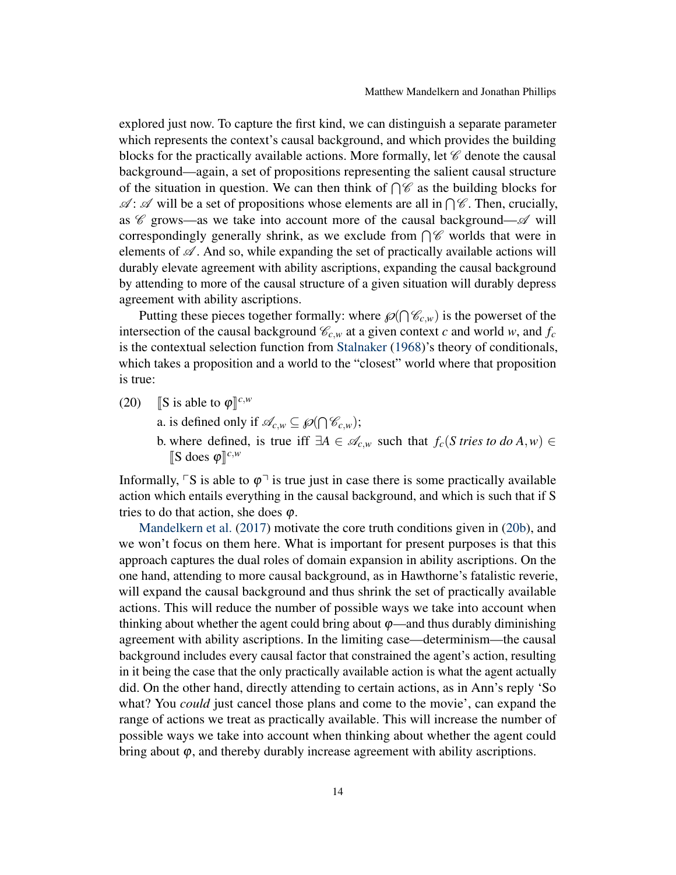explored just now. To capture the first kind, we can distinguish a separate parameter which represents the context's causal background, and which provides the building blocks for the practically available actions. More formally, let  $\mathscr C$  denote the causal background—again, a set of propositions representing the salient causal structure of the situation in question. We can then think of  $\bigcap \mathscr{C}$  as the building blocks for  $\mathscr{A}$ :  $\mathscr{A}$  will be a set of propositions whose elements are all in  $\bigcap \mathscr{C}$ . Then, crucially, as  $\mathscr C$  grows—as we take into account more of the causal background— $\mathscr A$  will correspondingly generally shrink, as we exclude from  $\bigcap \mathscr{C}$  worlds that were in elements of  $\mathscr A$ . And so, while expanding the set of practically available actions will durably elevate agreement with ability ascriptions, expanding the causal background by attending to more of the causal structure of a given situation will durably depress agreement with ability ascriptions.

Putting these pieces together formally: where  $\mathcal{O}(\bigcap \mathcal{C}_{c,w})$  is the powerset of the intersection of the causal background  $\mathcal{C}_{c,w}$  at a given context *c* and world *w*, and  $f_c$ is the contextual selection function from [Stalnaker](#page-18-4) [\(1968\)](#page-18-4)'s theory of conditionals, which takes a proposition and a world to the "closest" world where that proposition is true:

- <span id="page-13-0"></span>(20) **S** is able to  $\varphi$ <sup>[c,*w*</sup></sup>
	- a. is defined only if  $\mathscr{A}_{c,w} \subseteq \mathscr{P}(\bigcap \mathscr{C}_{c,w});$
	- b. where defined, is true iff  $\exists A \in \mathcal{A}_{c,w}$  such that  $f_c(S \text{ tries to } do A, w) \in$  $\llbracket S \text{ does } \varphi \rrbracket^{c,w}$

Informally,  $\ulcorner$ S is able to  $\varphi \urcorner$  is true just in case there is some practically available action which entails everything in the causal background, and which is such that if S tries to do that action, she does  $\varphi$ .

[Mandelkern et al.](#page-17-19) [\(2017\)](#page-17-19) motivate the core truth conditions given in [\(20b\)](#page-13-0), and we won't focus on them here. What is important for present purposes is that this approach captures the dual roles of domain expansion in ability ascriptions. On the one hand, attending to more causal background, as in Hawthorne's fatalistic reverie, will expand the causal background and thus shrink the set of practically available actions. This will reduce the number of possible ways we take into account when thinking about whether the agent could bring about  $\varphi$ —and thus durably diminishing agreement with ability ascriptions. In the limiting case—determinism—the causal background includes every causal factor that constrained the agent's action, resulting in it being the case that the only practically available action is what the agent actually did. On the other hand, directly attending to certain actions, as in Ann's reply 'So what? You *could* just cancel those plans and come to the movie', can expand the range of actions we treat as practically available. This will increase the number of possible ways we take into account when thinking about whether the agent could bring about  $\varphi$ , and thereby durably increase agreement with ability ascriptions.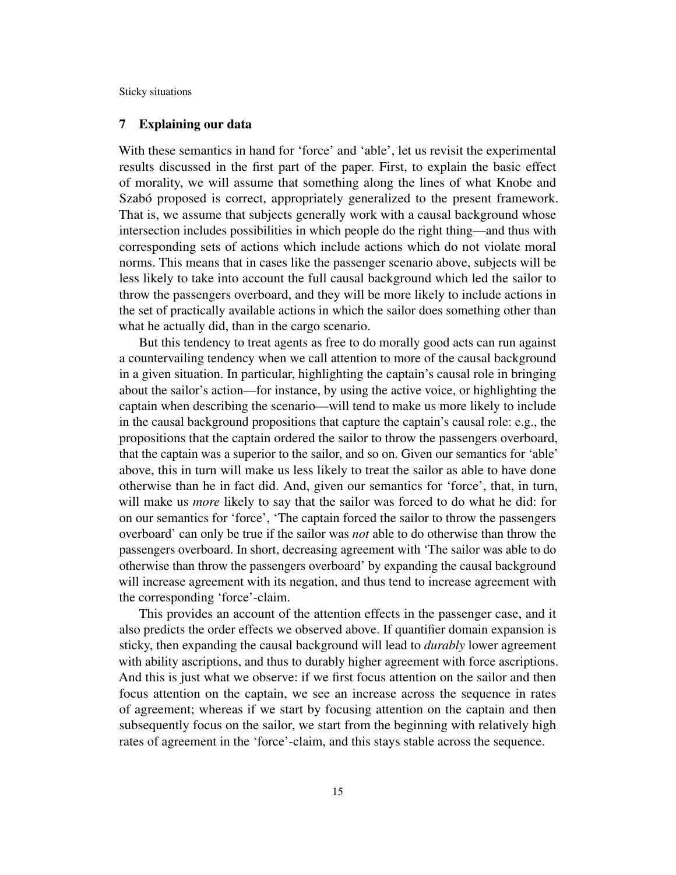# 7 Explaining our data

With these semantics in hand for 'force' and 'able', let us revisit the experimental results discussed in the first part of the paper. First, to explain the basic effect of morality, we will assume that something along the lines of what Knobe and Szabó proposed is correct, appropriately generalized to the present framework. That is, we assume that subjects generally work with a causal background whose intersection includes possibilities in which people do the right thing—and thus with corresponding sets of actions which include actions which do not violate moral norms. This means that in cases like the passenger scenario above, subjects will be less likely to take into account the full causal background which led the sailor to throw the passengers overboard, and they will be more likely to include actions in the set of practically available actions in which the sailor does something other than what he actually did, than in the cargo scenario.

But this tendency to treat agents as free to do morally good acts can run against a countervailing tendency when we call attention to more of the causal background in a given situation. In particular, highlighting the captain's causal role in bringing about the sailor's action—for instance, by using the active voice, or highlighting the captain when describing the scenario—will tend to make us more likely to include in the causal background propositions that capture the captain's causal role: e.g., the propositions that the captain ordered the sailor to throw the passengers overboard, that the captain was a superior to the sailor, and so on. Given our semantics for 'able' above, this in turn will make us less likely to treat the sailor as able to have done otherwise than he in fact did. And, given our semantics for 'force', that, in turn, will make us *more* likely to say that the sailor was forced to do what he did: for on our semantics for 'force', 'The captain forced the sailor to throw the passengers overboard' can only be true if the sailor was *not* able to do otherwise than throw the passengers overboard. In short, decreasing agreement with 'The sailor was able to do otherwise than throw the passengers overboard' by expanding the causal background will increase agreement with its negation, and thus tend to increase agreement with the corresponding 'force'-claim.

This provides an account of the attention effects in the passenger case, and it also predicts the order effects we observed above. If quantifier domain expansion is sticky, then expanding the causal background will lead to *durably* lower agreement with ability ascriptions, and thus to durably higher agreement with force ascriptions. And this is just what we observe: if we first focus attention on the sailor and then focus attention on the captain, we see an increase across the sequence in rates of agreement; whereas if we start by focusing attention on the captain and then subsequently focus on the sailor, we start from the beginning with relatively high rates of agreement in the 'force'-claim, and this stays stable across the sequence.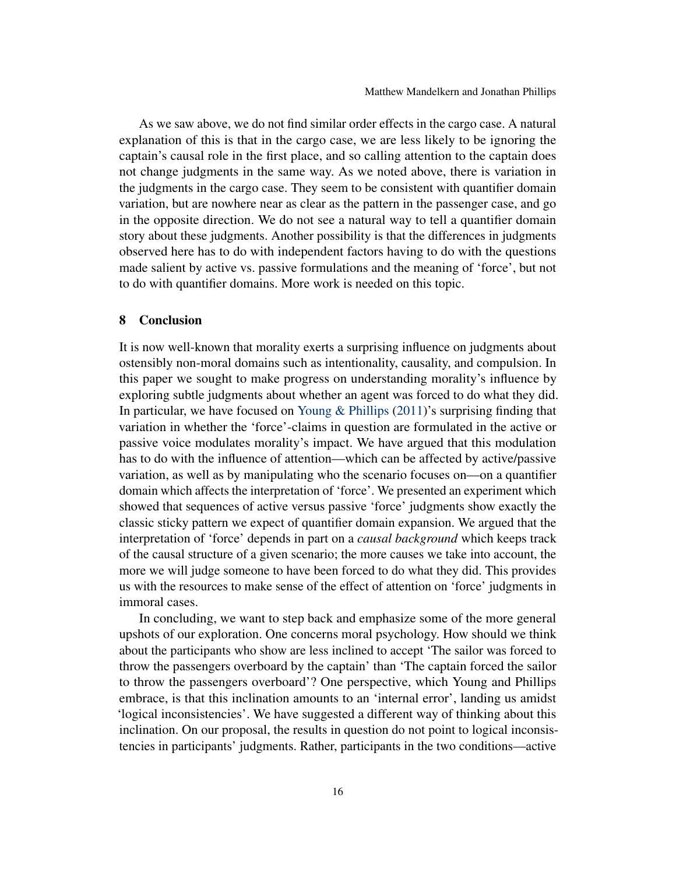As we saw above, we do not find similar order effects in the cargo case. A natural explanation of this is that in the cargo case, we are less likely to be ignoring the captain's causal role in the first place, and so calling attention to the captain does not change judgments in the same way. As we noted above, there is variation in the judgments in the cargo case. They seem to be consistent with quantifier domain variation, but are nowhere near as clear as the pattern in the passenger case, and go in the opposite direction. We do not see a natural way to tell a quantifier domain story about these judgments. Another possibility is that the differences in judgments observed here has to do with independent factors having to do with the questions made salient by active vs. passive formulations and the meaning of 'force', but not to do with quantifier domains. More work is needed on this topic.

#### 8 Conclusion

It is now well-known that morality exerts a surprising influence on judgments about ostensibly non-moral domains such as intentionality, causality, and compulsion. In this paper we sought to make progress on understanding morality's influence by exploring subtle judgments about whether an agent was forced to do what they did. In particular, we have focused on [Young & Phillips](#page-18-0) [\(2011\)](#page-18-0)'s surprising finding that variation in whether the 'force'-claims in question are formulated in the active or passive voice modulates morality's impact. We have argued that this modulation has to do with the influence of attention—which can be affected by active/passive variation, as well as by manipulating who the scenario focuses on—on a quantifier domain which affects the interpretation of 'force'. We presented an experiment which showed that sequences of active versus passive 'force' judgments show exactly the classic sticky pattern we expect of quantifier domain expansion. We argued that the interpretation of 'force' depends in part on a *causal background* which keeps track of the causal structure of a given scenario; the more causes we take into account, the more we will judge someone to have been forced to do what they did. This provides us with the resources to make sense of the effect of attention on 'force' judgments in immoral cases.

In concluding, we want to step back and emphasize some of the more general upshots of our exploration. One concerns moral psychology. How should we think about the participants who show are less inclined to accept 'The sailor was forced to throw the passengers overboard by the captain' than 'The captain forced the sailor to throw the passengers overboard'? One perspective, which Young and Phillips embrace, is that this inclination amounts to an 'internal error', landing us amidst 'logical inconsistencies'. We have suggested a different way of thinking about this inclination. On our proposal, the results in question do not point to logical inconsistencies in participants' judgments. Rather, participants in the two conditions—active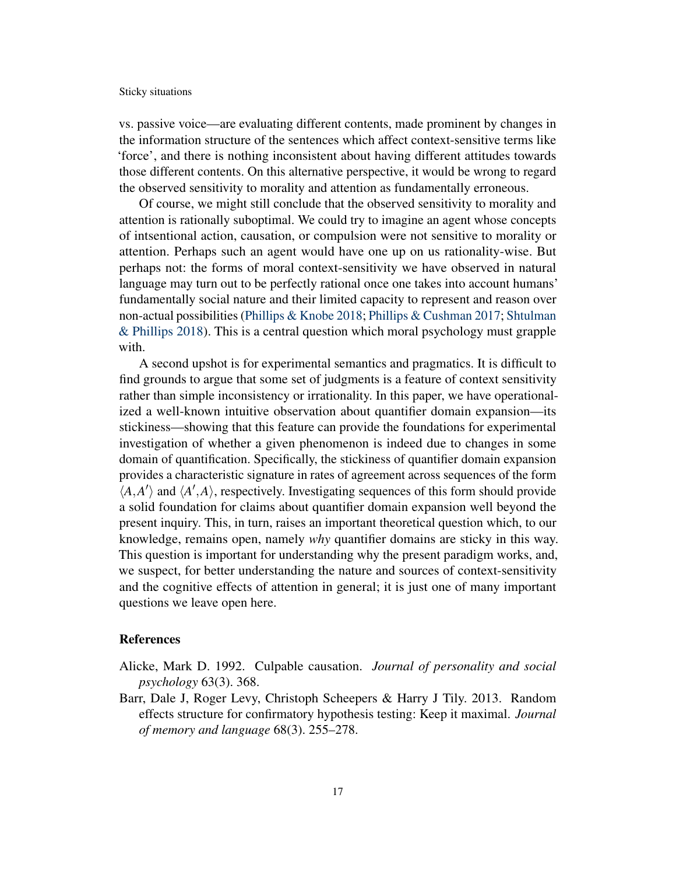vs. passive voice—are evaluating different contents, made prominent by changes in the information structure of the sentences which affect context-sensitive terms like 'force', and there is nothing inconsistent about having different attitudes towards those different contents. On this alternative perspective, it would be wrong to regard the observed sensitivity to morality and attention as fundamentally erroneous.

Of course, we might still conclude that the observed sensitivity to morality and attention is rationally suboptimal. We could try to imagine an agent whose concepts of intsentional action, causation, or compulsion were not sensitive to morality or attention. Perhaps such an agent would have one up on us rationality-wise. But perhaps not: the forms of moral context-sensitivity we have observed in natural language may turn out to be perfectly rational once one takes into account humans' fundamentally social nature and their limited capacity to represent and reason over non-actual possibilities [\(Phillips & Knobe](#page-18-5) [2018;](#page-18-5) [Phillips & Cushman](#page-18-6) [2017;](#page-18-6) [Shtulman](#page-18-7) [& Phillips](#page-18-7) [2018\)](#page-18-7). This is a central question which moral psychology must grapple with.

A second upshot is for experimental semantics and pragmatics. It is difficult to find grounds to argue that some set of judgments is a feature of context sensitivity rather than simple inconsistency or irrationality. In this paper, we have operationalized a well-known intuitive observation about quantifier domain expansion—its stickiness—showing that this feature can provide the foundations for experimental investigation of whether a given phenomenon is indeed due to changes in some domain of quantification. Specifically, the stickiness of quantifier domain expansion provides a characteristic signature in rates of agreement across sequences of the form  $\langle A, A' \rangle$  and  $\langle A', A \rangle$ , respectively. Investigating sequences of this form should provide a solid foundation for claims about quantifier domain expansion well beyond the present inquiry. This, in turn, raises an important theoretical question which, to our knowledge, remains open, namely *why* quantifier domains are sticky in this way. This question is important for understanding why the present paradigm works, and, we suspect, for better understanding the nature and sources of context-sensitivity and the cognitive effects of attention in general; it is just one of many important questions we leave open here.

# **References**

- <span id="page-16-0"></span>Alicke, Mark D. 1992. Culpable causation. *Journal of personality and social psychology* 63(3). 368.
- <span id="page-16-1"></span>Barr, Dale J, Roger Levy, Christoph Scheepers & Harry J Tily. 2013. Random effects structure for confirmatory hypothesis testing: Keep it maximal. *Journal of memory and language* 68(3). 255–278.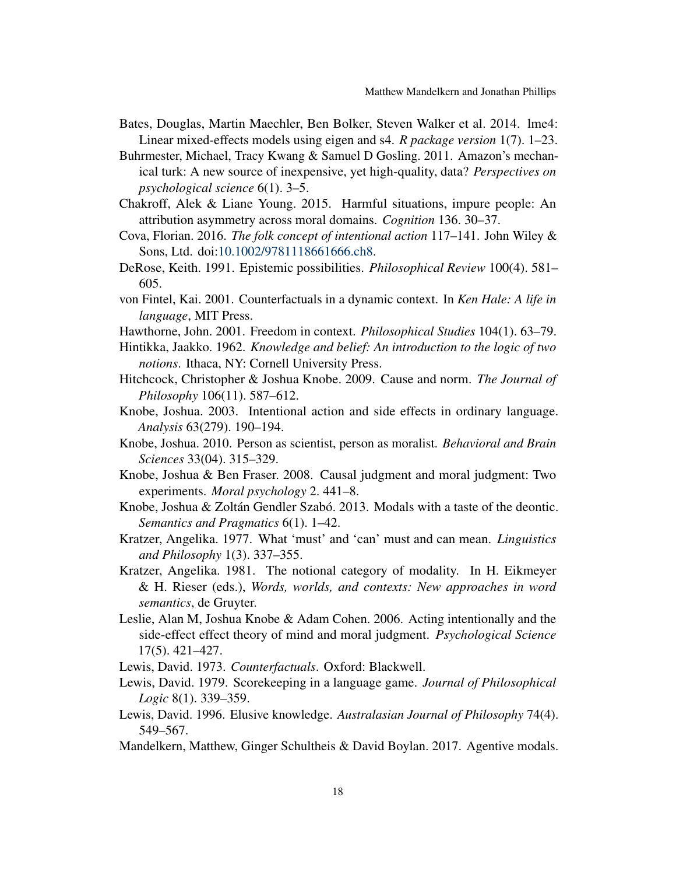- <span id="page-17-18"></span>Bates, Douglas, Martin Maechler, Ben Bolker, Steven Walker et al. 2014. lme4: Linear mixed-effects models using eigen and s4. *R package version* 1(7). 1–23.
- <span id="page-17-17"></span>Buhrmester, Michael, Tracy Kwang & Samuel D Gosling. 2011. Amazon's mechanical turk: A new source of inexpensive, yet high-quality, data? *Perspectives on psychological science* 6(1). 3–5.
- <span id="page-17-6"></span>Chakroff, Alek & Liane Young. 2015. Harmful situations, impure people: An attribution asymmetry across moral domains. *Cognition* 136. 30–37.
- <span id="page-17-3"></span>Cova, Florian. 2016. *The folk concept of intentional action* 117–141. John Wiley & Sons, Ltd. doi[:10.1002/9781118661666.ch8.](http://dx.doi.org/10.1002/9781118661666.ch8)
- <span id="page-17-12"></span>DeRose, Keith. 1991. Epistemic possibilities. *Philosophical Review* 100(4). 581– 605.
- <span id="page-17-15"></span>von Fintel, Kai. 2001. Counterfactuals in a dynamic context. In *Ken Hale: A life in language*, MIT Press.
- <span id="page-17-16"></span>Hawthorne, John. 2001. Freedom in context. *Philosophical Studies* 104(1). 63–79.
- <span id="page-17-11"></span>Hintikka, Jaakko. 1962. *Knowledge and belief: An introduction to the logic of two notions*. Ithaca, NY: Cornell University Press.
- <span id="page-17-5"></span>Hitchcock, Christopher & Joshua Knobe. 2009. Cause and norm. *The Journal of Philosophy* 106(11). 587–612.
- <span id="page-17-0"></span>Knobe, Joshua. 2003. Intentional action and side effects in ordinary language. *Analysis* 63(279). 190–194.
- <span id="page-17-1"></span>Knobe, Joshua. 2010. Person as scientist, person as moralist. *Behavioral and Brain Sciences* 33(04). 315–329.
- <span id="page-17-4"></span>Knobe, Joshua & Ben Fraser. 2008. Causal judgment and moral judgment: Two experiments. *Moral psychology* 2. 441–8.
- <span id="page-17-7"></span>Knobe, Joshua & Zoltán Gendler Szabó. 2013. Modals with a taste of the deontic. *Semantics and Pragmatics* 6(1). 1–42.
- <span id="page-17-8"></span>Kratzer, Angelika. 1977. What 'must' and 'can' must and can mean. *Linguistics and Philosophy* 1(3). 337–355.
- <span id="page-17-9"></span>Kratzer, Angelika. 1981. The notional category of modality. In H. Eikmeyer & H. Rieser (eds.), *Words, worlds, and contexts: New approaches in word semantics*, de Gruyter.
- <span id="page-17-2"></span>Leslie, Alan M, Joshua Knobe & Adam Cohen. 2006. Acting intentionally and the side-effect effect theory of mind and moral judgment. *Psychological Science* 17(5). 421–427.
- <span id="page-17-14"></span>Lewis, David. 1973. *Counterfactuals*. Oxford: Blackwell.
- <span id="page-17-10"></span>Lewis, David. 1979. Scorekeeping in a language game. *Journal of Philosophical Logic* 8(1). 339–359.
- <span id="page-17-13"></span>Lewis, David. 1996. Elusive knowledge. *Australasian Journal of Philosophy* 74(4). 549–567.
- <span id="page-17-19"></span>Mandelkern, Matthew, Ginger Schultheis & David Boylan. 2017. Agentive modals.